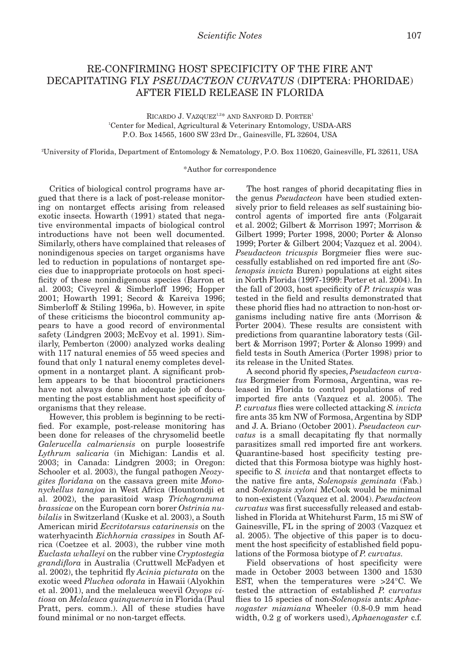## RE-CONFIRMING HOST SPECIFICITY OF THE FIRE ANT DECAPITATING FLY *PSEUDACTEON CURVATUS* (DIPTERA: PHORIDAE) AFTER FIELD RELEASE IN FLORIDA

RICARDO J. VAZQUEZ<sup>1,2\*</sup> AND SANFORD D. PORTER<sup>1</sup> 1 Center for Medical, Agricultural & Veterinary Entomology, USDA-ARS P.O. Box 14565, 1600 SW 23rd Dr., Gainesville, FL 32604, USA

2 University of Florida, Department of Entomology & Nematology, P.O. Box 110620, Gainesville, FL 32611, USA

## \*Author for correspondence

Critics of biological control programs have argued that there is a lack of post-release monitoring on nontarget effects arising from released exotic insects. Howarth (1991) stated that negative environmental impacts of biological control introductions have not been well documented. Similarly, others have complained that releases of nonindigenous species on target organisms have led to reduction in populations of nontarget species due to inappropriate protocols on host specificity of these nonindigenous species (Barron et al. 2003; Civeyrel & Simberloff 1996; Hopper 2001; Howarth 1991; Secord & Kareiva 1996; Simberloff & Stiling 1996a, b). However, in spite of these criticisms the biocontrol community appears to have a good record of environmental safety (Lindgren 2003; McEvoy et al. 1991). Similarly, Pemberton (2000) analyzed works dealing with 117 natural enemies of 55 weed species and found that only 1 natural enemy completes development in a nontarget plant. A significant problem appears to be that biocontrol practicioners have not always done an adequate job of documenting the post establishment host specificity of organisms that they release.

However, this problem is beginning to be rectified. For example, post-release monitoring has been done for releases of the chrysomelid beetle *Galerucella calmariensis* on purple loosestrife *Lythrum salicaria* (in Michigan: Landis et al. 2003; in Canada: Lindgren 2003; in Oregon: Schooler et al. 2003), the fungal pathogen *Neozygites floridana* on the cassava green mite *Mononychellus tanajoa* in West Africa (Hountondji et al. 2002), the parasitoid wasp *Trichogramma brassicae* on the European corn borer *Ostrinia nubilalis* in Switzerland (Kuske et al. 2003), a South American mirid *Eccritotarsus catarinensis* on the waterhyacinth *Eichhornia crassipes* in South Africa (Coetzee et al. 2003), the rubber vine moth *Euclasta whalleyi* on the rubber vine *Cryptostegia grandiflora* in Australia (Cruttwell McFadyen et al. 2002), the tephritid fly *Acinia picturata* on the exotic weed *Pluchea odorata* in Hawaii (Alyokhin et al. 2001), and the melaleuca weevil *Oxyops vitiosa* on *Melaleuca quinquenervia* in Florida (Paul Pratt, pers. comm.). All of these studies have found minimal or no non-target effects.

The host ranges of phorid decapitating flies in the genus *Pseudacteon* have been studied extensively prior to field releases as self sustaining biocontrol agents of imported fire ants (Folgarait et al. 2002; Gilbert & Morrison 1997; Morrison & Gilbert 1999; Porter 1998, 2000; Porter & Alonso 1999; Porter & Gilbert 2004; Vazquez et al. 2004). *Pseudacteon tricuspis* Borgmeier flies were successfully established on red imported fire ant (*Solenopsis invicta* Buren) populations at eight sites in North Florida (1997-1999: Porter et al. 2004). In the fall of 2003, host specificity of *P. tricuspis* was tested in the field and results demonstrated that these phorid flies had no attraction to non-host organisms including native fire ants (Morrison & Porter 2004). These results are consistent with predictions from quarantine laboratory tests (Gilbert & Morrison 1997; Porter & Alonso 1999) and field tests in South America (Porter 1998) prior to its release in the United States.

A second phorid fly species, *Pseudacteon curvatus* Borgmeier from Formosa, Argentina, was released in Florida to control populations of red imported fire ants (Vazquez et al. 2005). The *P. curvatus* flies were collected attacking *S. invicta* fire ants 35 km NW of Formosa, Argentina by SDP and J. A. Briano (October 2001). *Pseudacteon curvatus* is a small decapitating fly that normally parasitizes small red imported fire ant workers. Quarantine-based host specificity testing predicted that this Formosa biotype was highly hostspecific to *S. invicta* and that nontarget effects to the native fire ants, *Solenopsis geminata* (Fab.) and *Solenopsis xyloni* McCook would be minimal to non-existent (Vazquez et al. 2004). *Pseudacteon curvatus* was first successfully released and established in Florida at Whitehurst Farm, 15 mi SW of Gainesville, FL in the spring of 2003 (Vazquez et al. 2005). The objective of this paper is to document the host specificity of established field populations of the Formosa biotype of *P. curvatus*.

Field observations of host specificity were made in October 2003 between 1300 and 1530 EST, when the temperatures were >24°C. We tested the attraction of established *P. curvatus* flies to 15 species of non-*Solenopsis* ants: *Aphaenogaster miamiana* Wheeler (0.8-0.9 mm head width, 0.2 g of workers used), *Aphaenogaster* c.f.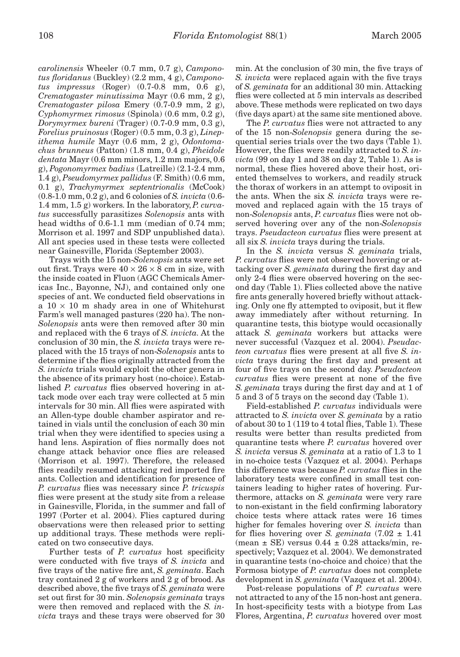*carolinensis* Wheeler (0.7 mm, 0.7 g), *Camponotus floridanus* (Buckley) (2.2 mm, 4 g), *Camponotus impressus* (Roger) (0.7-0.8 mm, 0.6 g), *Crematogaster minutissima* Mayr (0.6 mm, 2 g), *Crematogaster pilosa* Emery (0.7-0.9 mm, 2 g), *Cyphomyrmex rimosus* (Spinola) (0.6 mm, 0.2 g), *Dorymyrmex bureni* (Trager) (0.7-0.9 mm, 0.3 g), *Forelius pruinosus* (Roger) (0.5 mm, 0.3 g), *Linepithema humile* Mayr (0.6 mm, 2 g), *Odontomachus brunneus* (Patton) (1.8 mm, 0.4 g), *Pheidole dentata* Mayr (0.6 mm minors, 1.2 mm majors, 0.6 g), *Pogonomyrmex badius* (Latreille) (2.1-2.4 mm, 1.4 g), *Pseudomyrmex pallidus* (F. Smith) (0.6 mm, 0.1 g), *Trachymyrmex septentrionalis* (McCook) (0.8-1.0 mm, 0.2 g), and 6 colonies of *S. invicta* (0.6- 1.4 mm, 1.5 g) workers. In the laboratory, *P. curvatus* successfully parasitizes *Solenopsis* ants with head widths of 0.6-1.1 mm (median of 0.74 mm; Morrison et al. 1997 and SDP unpublished data). All ant species used in these tests were collected near Gainesville, Florida (September 2003).

Trays with the 15 non-*Solenopsis* ants were set out first. Trays were  $40 \times 26 \times 8$  cm in size, with the inside coated in Fluon (AGC Chemicals Americas Inc., Bayonne, NJ), and contained only one species of ant. We conducted field observations in a  $10 \times 10$  m shady area in one of Whitehurst Farm's well managed pastures (220 ha). The non-*Solenopsis* ants were then removed after 30 min and replaced with the 6 trays of *S. invicta.* At the conclusion of 30 min, the *S. invicta* trays were replaced with the 15 trays of non-*Solenopsis* ants to determine if the flies originally attracted from the *S. invicta* trials would exploit the other genera in the absence of its primary host (no-choice). Established *P. curvatus* flies observed hovering in attack mode over each tray were collected at 5 min intervals for 30 min. All flies were aspirated with an Allen-type double chamber aspirator and retained in vials until the conclusion of each 30 min trial when they were identified to species using a hand lens. Aspiration of flies normally does not change attack behavior once flies are released (Morrison et al. 1997). Therefore, the released flies readily resumed attacking red imported fire ants. Collection and identification for presence of *P. curvatus* flies was necessary since *P. tricuspis* flies were present at the study site from a release in Gainesville, Florida, in the summer and fall of 1997 (Porter et al. 2004). Flies captured during observations were then released prior to setting up additional trays. These methods were replicated on two consecutive days.

Further tests of *P. curvatus* host specificity were conducted with five trays of *S. invicta* and five trays of the native fire ant, *S. geminata*. Each tray contained 2 g of workers and 2 g of brood. As described above, the five trays of *S. geminata* were set out first for 30 min. *Solenopsis geminata* trays were then removed and replaced with the *S. invicta* trays and these trays were observed for 30 min. At the conclusion of 30 min, the five trays of *S. invicta* were replaced again with the five trays of *S. geminata* for an additional 30 min. Attacking flies were collected at 5 min intervals as described above. These methods were replicated on two days (five days apart) at the same site mentioned above.

The *P. curvatus* flies were not attracted to any of the 15 non-*Solenopsis* genera during the sequential series trials over the two days (Table 1). However, the flies were readily attracted to *S. in* $victa$  (99 on day 1 and 38 on day 2, Table 1). As is normal, these flies hovered above their host, oriented themselves to workers, and readily struck the thorax of workers in an attempt to oviposit in the ants. When the six *S. invicta* trays were removed and replaced again with the 15 trays of non-*Solenopsis* ants, *P. curvatus* flies were not observed hovering over any of the non-*Solenopsis* trays. *Pseudacteon curvatus* flies were present at all six *S. invicta* trays during the trials.

In the *S. invicta* versus *S. geminata* trials, *P. curvatus* flies were not observed hovering or attacking over *S. geminata* during the first day and only 2-4 flies were observed hovering on the second day (Table 1). Flies collected above the native fire ants generally hovered briefly without attacking. Only one fly attempted to oviposit, but it flew away immediately after without returning. In quarantine tests, this biotype would occasionally attack *S. geminata* workers but attacks were never successful (Vazquez et al. 2004). *Pseudacteon curvatus* flies were present at all five *S. invicta* trays during the first day and present at four of five trays on the second day. *Pseudacteon curvatus* flies were present at none of the five *S. geminata* trays during the first day and at 1 of 5 and 3 of 5 trays on the second day (Table 1).

Field-established *P. curvatus* individuals were attracted to *S. invicta* over *S. geminata* by a ratio of about 30 to 1 (119 to 4 total flies, Table 1). These results were better than results predicted from quarantine tests where *P. curvatus* hovered over *S. invicta* versus *S. geminata* at a ratio of 1.3 to 1 in no-choice tests (Vazquez et al. 2004). Perhaps this difference was because *P. curvatus* flies in the laboratory tests were confined in small test containers leading to higher rates of hovering. Furthermore, attacks on *S. geminata* were very rare to non-existant in the field confirming laboratory choice tests where attack rates were 16 times higher for females hovering over *S. invicta* than for flies hovering over *S. geminata*  $(7.02 \pm 1.41)$ (mean  $\pm$  SE) versus 0.44  $\pm$  0.28 attacks/min, respectively; Vazquez et al. 2004). We demonstrated in quarantine tests (no-choice and choice) that the Formosa biotype of *P. curvatus* does not complete development in *S. geminata* (Vazquez et al. 2004).

Post-release populations of *P. curvatus* were not attracted to any of the 15 non-host ant genera. In host-specificity tests with a biotype from Las Flores, Argentina, *P. curvatus* hovered over most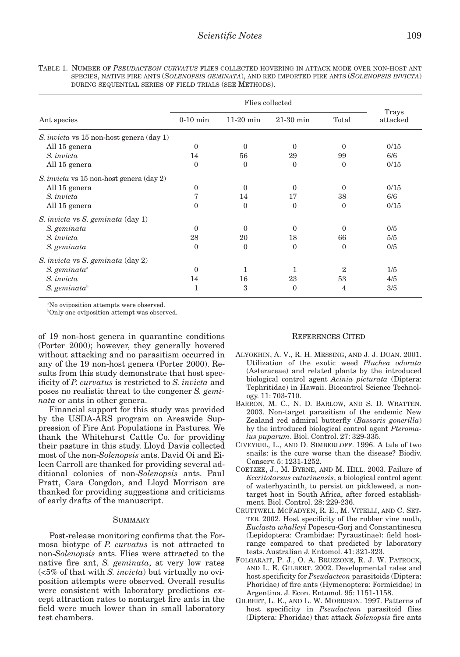| TABLE 1. NUMBER OF PSEUDACTEON CURVATUS FLIES COLLECTED HOVERING IN ATTACK MODE OVER NON-HOST ANT |
|---------------------------------------------------------------------------------------------------|
| SPECIES, NATIVE FIRE ANTS (SOLENOPSIS GEMINATA), AND RED IMPORTED FIRE ANTS (SOLENOPSIS INVICTA)  |
| DURING SEQUENTIAL SERIES OF FIELD TRIALS (SEE METHODS).                                           |

|                                                 | Flies collected |              |             |                |                   |
|-------------------------------------------------|-----------------|--------------|-------------|----------------|-------------------|
| Ant species                                     | $0-10$ min      | $11-20$ min  | $21-30$ min | Total          | Trays<br>attacked |
| S. <i>invicta</i> vs 15 non-host genera (day 1) |                 |              |             |                |                   |
| All 15 genera                                   | $\Omega$        | $\Omega$     | 0           | $\Omega$       | 0/15              |
| S. <i>invicta</i>                               | 14              | 56           | 29          | 99             | 6/6               |
| All 15 genera                                   | $\mathbf{0}$    | $\mathbf{0}$ | $\theta$    | $\mathbf{0}$   | 0/15              |
| S. <i>invicta</i> vs 15 non-host genera (day 2) |                 |              |             |                |                   |
| All 15 genera                                   | $\theta$        | $\mathbf{0}$ | $\theta$    | $\Omega$       | 0/15              |
| S. <i>invicta</i>                               | 7               | 14           | 17          | 38             | 6/6               |
| All 15 genera                                   | $\theta$        | $\Omega$     | $\Omega$    | $\Omega$       | 0/15              |
| S. invicta vs S. geminata (day 1)               |                 |              |             |                |                   |
| S. geminata                                     | $\Omega$        | $\theta$     | $\Omega$    | $\Omega$       | 0/5               |
| S. <i>invicta</i>                               | 28              | 20           | 18          | 66             | 5/5               |
| S. geminata                                     | $\theta$        | $\Omega$     | $\Omega$    | $\theta$       | 0/5               |
| S. invicta vs S. geminata (day 2)               |                 |              |             |                |                   |
| $S.$ geminata <sup>a</sup>                      | $\theta$        | 1            | 1           | $\overline{2}$ | 1/5               |
| S. <i>invicta</i>                               | 14              | 16           | 23          | 53             | 4/5               |
| S. geminata $\mathfrak b$                       | 1               | 3            | $\theta$    | 4              | 3/5               |

a No oviposition attempts were observed.

b Only one oviposition attempt was observed.

of 19 non-host genera in quarantine conditions (Porter 2000); however, they generally hovered without attacking and no parasitism occurred in any of the 19 non-host genera (Porter 2000). Results from this study demonstrate that host specificity of *P. curvatus* is restricted to *S. invicta* and poses no realistic threat to the congener *S. geminata* or ants in other genera.

Financial support for this study was provided by the USDA-ARS program on Areawide Suppression of Fire Ant Populations in Pastures. We thank the Whitehurst Cattle Co. for providing their pasture in this study. Lloyd Davis collected most of the non-*Solenopsis* ants. David Oi and Eileen Carroll are thanked for providing several additional colonies of non-*Solenopsis* ants. Paul Pratt, Cara Congdon, and Lloyd Morrison are thanked for providing suggestions and criticisms of early drafts of the manuscript.

## **SUMMARY**

Post-release monitoring confirms that the Formosa biotype of *P. curvatus* is not attracted to non-*Solenopsis* ants. Flies were attracted to the native fire ant, *S. geminata*, at very low rates (<5% of that with *S. invicta*) but virtually no oviposition attempts were observed. Overall results were consistent with laboratory predictions except attraction rates to nontarget fire ants in the field were much lower than in small laboratory test chambers.

## REFERENCES CITED

- ALYOKHIN, A. V., R. H. MESSING, AND J. J. DUAN. 2001. Utilization of the exotic weed *Pluchea odorata* (Asteraceae) and related plants by the introduced biological control agent *Acinia picturata* (Diptera: Tephritidae) in Hawaii. Biocontrol Science Technology. 11: 703-710.
- BARRON, M. C., N. D. BARLOW, AND S. D. WRATTEN. 2003. Non-target parasitism of the endemic New Zealand red admiral butterfly (*Bassaris gonerilla*) by the introduced biological control agent *Pteromalus puparum*. Biol. Control. 27: 329-335.
- CIVEYREL, L., AND D. SIMBERLOFF. 1996. A tale of two snails: is the cure worse than the disease? Biodiv. Conserv. 5: 1231-1252.
- COETZEE, J., M. BYRNE, AND M. HILL. 2003. Failure of *Eccritotarsus catarinensis*, a biological control agent of waterhyacinth, to persist on pickleweed, a nontarget host in South Africa, after forced establishment. Biol. Control. 28: 229-236.
- CRUTTWELL MCFADYEN, R. E., M. VITELLI, AND C. SET-TER. 2002. Host specificity of the rubber vine moth, *Euclasta whalleyi* Popescu-Gorj and Constantinescu (Lepidoptera: Crambidae: Pyraustinae): field hostrange compared to that predicted by laboratory tests. Australian J. Entomol. 41: 321-323.
- FOLGARAIT, P. J., O. A. BRUZZONE, R. J. W. PATROCK, AND L. E. GILBERT. 2002. Developmental rates and host specificity for *Pseudacteon* parasitoids (Diptera: Phoridae) of fire ants (Hymenoptera: Formicidae) in Argentina. J. Econ. Entomol. 95: 1151-1158.
- GILBERT, L. E., AND L. W. MORRISON. 1997. Patterns of host specificity in *Pseudacteon* parasitoid flies (Diptera: Phoridae) that attack *Solenopsis* fire ants